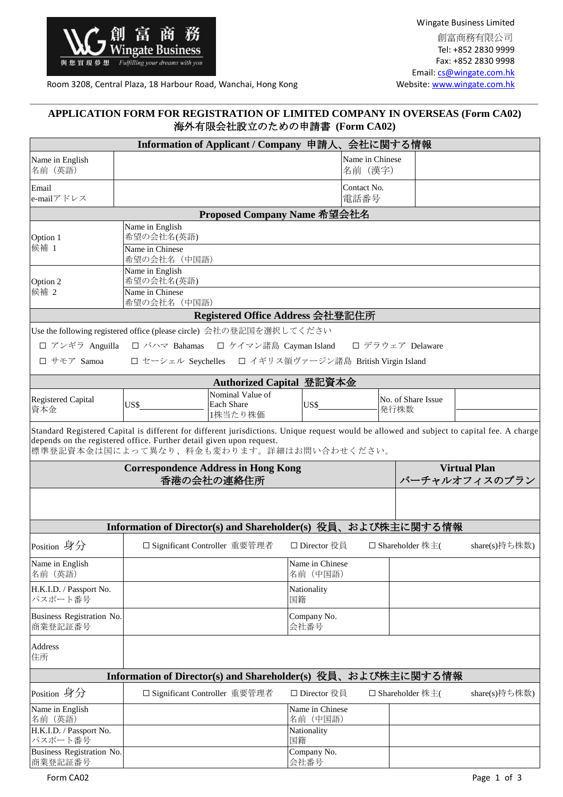

Wingate Business Limited 創富商務有限公司 Tel: +852 2830 9999 Fax: +852 2830 9998 Email: [cs@wingate.com.hk](mailto:cs@wingate.com.hk)<br>Website: www.wingate.com.hk

Room 3208, Central Plaza, 18 Harbour Road, Wanchai, Hong Kong

## **APPLICATION FORM FOR REGISTRATION OF LIMITED COMPANY IN OVERSEAS (Form CA02)** 海外有限会社設立のための申請書 **(Form CA02)**

|                                                                                                                  |                                                                       | Information of Applicant / Company 申請人、会社に関する情報  |                             |                            |                            |                     |  |  |
|------------------------------------------------------------------------------------------------------------------|-----------------------------------------------------------------------|--------------------------------------------------|-----------------------------|----------------------------|----------------------------|---------------------|--|--|
| Name in English<br>名前 (英語)                                                                                       |                                                                       |                                                  |                             | Name in Chinese<br>名前 (漢字) |                            |                     |  |  |
| Email<br>e-mailアドレス                                                                                              |                                                                       |                                                  |                             | Contact No.<br>電話番号        |                            |                     |  |  |
|                                                                                                                  |                                                                       | Proposed Company Name 希望会社名                      |                             |                            |                            |                     |  |  |
| Option 1                                                                                                         | Name in English<br>希望の会社名(英語)                                         |                                                  |                             |                            |                            |                     |  |  |
| 候補 1                                                                                                             | Name in Chinese<br>希望の会社名 (中国語)                                       |                                                  |                             |                            |                            |                     |  |  |
| Option 2                                                                                                         | Name in English<br>希望の会社名(英語)                                         |                                                  |                             |                            |                            |                     |  |  |
| 候補 2                                                                                                             | Name in Chinese<br>希望の会社名(中国語)                                        |                                                  |                             |                            |                            |                     |  |  |
|                                                                                                                  |                                                                       | Registered Office Address 会社登記住所                 |                             |                            |                            |                     |  |  |
| Use the following registered office (please circle) 会社の登記国を選択してください                                              |                                                                       |                                                  |                             |                            |                            |                     |  |  |
|                                                                                                                  | □ アンギラ Anguilla □ バハマ Bahamas □ ケイマン諸島 Cayman Island □ デラウェア Delaware |                                                  |                             |                            |                            |                     |  |  |
| □ サモア Samoa                                                                                                      | □ セーシェル Seychelles □ イギリス領ヴァージン諸島 British Virgin Island               |                                                  |                             |                            |                            |                     |  |  |
|                                                                                                                  |                                                                       | Authorized Capital 登記資本金                         |                             |                            |                            |                     |  |  |
| <b>Registered Capital</b><br>資本金                                                                                 | US\$                                                                  | Nominal Value of<br><b>Each Share</b><br>1株当たり株価 | $\overline{\text{USS}}$     |                            | No. of Share Issue<br>発行株数 |                     |  |  |
| depends on the registered office. Further detail given upon request.<br>標準登記資本金は国によって異なり、料金も変わります。詳細はお問い合わせください。 | <b>Correspondence Address in Hong Kong</b>                            |                                                  |                             |                            |                            | <b>Virtual Plan</b> |  |  |
|                                                                                                                  |                                                                       | 香港の会社の連絡住所                                       |                             |                            |                            | バーチャルオフィスのプラン       |  |  |
|                                                                                                                  | Information of Director(s) and Shareholder(s) 役員、および株主に関する情報          |                                                  |                             |                            |                            |                     |  |  |
| Position 身分                                                                                                      |                                                                       | □ Significant Controller 重要管理者                   | □ Director 役員               |                            | □ Shareholder 株主(          | share(s)持ち株数)       |  |  |
| Name in English<br>名前 (英語)                                                                                       |                                                                       |                                                  | Name in Chinese<br>名前 (中国語) |                            |                            |                     |  |  |
| H.K.I.D. / Passport No.<br>パスポート番号                                                                               |                                                                       |                                                  | Nationality<br>国籍           |                            |                            |                     |  |  |
| Business Registration No.<br>商業登記証番号                                                                             |                                                                       |                                                  | Company No.<br>会社番号         |                            |                            |                     |  |  |
| Address<br>住所                                                                                                    |                                                                       |                                                  |                             |                            |                            |                     |  |  |
|                                                                                                                  | Information of Director(s) and Shareholder(s) 役員、                     |                                                  |                             |                            | および株主に関する情報                |                     |  |  |
| Position 身分                                                                                                      |                                                                       | □ Significant Controller 重要管理者                   | □ Director 役員               |                            | □ Shareholder 株主(          | share(s)持ち株数)       |  |  |
| Name in English<br>名前 (英語)                                                                                       |                                                                       |                                                  | Name in Chinese<br>名前 (中国語) |                            |                            |                     |  |  |
| H.K.I.D. / Passport No.<br>パスポート番号                                                                               |                                                                       |                                                  | Nationality<br>国籍           |                            |                            |                     |  |  |
| Business Registration No.<br>商業登記証番号                                                                             |                                                                       |                                                  | Company No.<br>会社番号         |                            |                            |                     |  |  |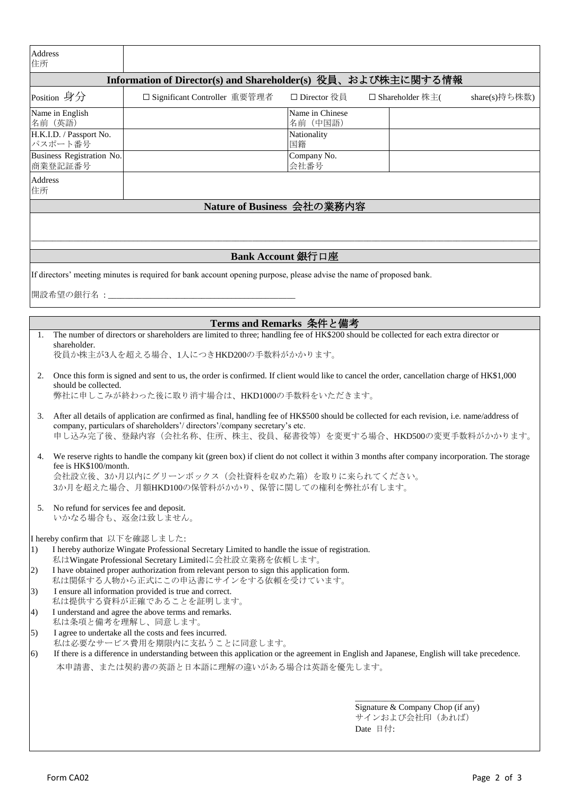| Address<br>住所                                                                                                                                                                                                                                                                |                                                                                                                                                                                                                                                                                          |                                                                                                                                                          |                             |          |                                                      |               |  |
|------------------------------------------------------------------------------------------------------------------------------------------------------------------------------------------------------------------------------------------------------------------------------|------------------------------------------------------------------------------------------------------------------------------------------------------------------------------------------------------------------------------------------------------------------------------------------|----------------------------------------------------------------------------------------------------------------------------------------------------------|-----------------------------|----------|------------------------------------------------------|---------------|--|
|                                                                                                                                                                                                                                                                              | Information of Director(s) and Shareholder(s) 役員、および株主に関する情報                                                                                                                                                                                                                             |                                                                                                                                                          |                             |          |                                                      |               |  |
|                                                                                                                                                                                                                                                                              | Position 身分                                                                                                                                                                                                                                                                              | □ Significant Controller 重要管理者                                                                                                                           | □ Director 役員               |          | □ Shareholder 株主(                                    | share(s)持ち株数) |  |
|                                                                                                                                                                                                                                                                              | Name in English<br>名前 (英語)                                                                                                                                                                                                                                                               |                                                                                                                                                          | Name in Chinese<br>名前 (中国語) |          |                                                      |               |  |
|                                                                                                                                                                                                                                                                              | H.K.I.D. / Passport No.<br>パスポート番号                                                                                                                                                                                                                                                       |                                                                                                                                                          | Nationality<br>国籍           |          |                                                      |               |  |
|                                                                                                                                                                                                                                                                              | Business Registration No.<br>商業登記証番号                                                                                                                                                                                                                                                     |                                                                                                                                                          | Company No.<br>会社番号         |          |                                                      |               |  |
| Address                                                                                                                                                                                                                                                                      |                                                                                                                                                                                                                                                                                          |                                                                                                                                                          |                             |          |                                                      |               |  |
| 住所                                                                                                                                                                                                                                                                           |                                                                                                                                                                                                                                                                                          | Nature of Business 会社の業務内容                                                                                                                               |                             |          |                                                      |               |  |
|                                                                                                                                                                                                                                                                              |                                                                                                                                                                                                                                                                                          |                                                                                                                                                          |                             |          |                                                      |               |  |
|                                                                                                                                                                                                                                                                              |                                                                                                                                                                                                                                                                                          |                                                                                                                                                          |                             |          |                                                      |               |  |
|                                                                                                                                                                                                                                                                              |                                                                                                                                                                                                                                                                                          |                                                                                                                                                          | Bank Account 銀行口座           |          |                                                      |               |  |
|                                                                                                                                                                                                                                                                              |                                                                                                                                                                                                                                                                                          | If directors' meeting minutes is required for bank account opening purpose, please advise the name of proposed bank.                                     |                             |          |                                                      |               |  |
|                                                                                                                                                                                                                                                                              |                                                                                                                                                                                                                                                                                          |                                                                                                                                                          |                             |          |                                                      |               |  |
|                                                                                                                                                                                                                                                                              |                                                                                                                                                                                                                                                                                          |                                                                                                                                                          |                             |          |                                                      |               |  |
| 1.                                                                                                                                                                                                                                                                           |                                                                                                                                                                                                                                                                                          | Terms and Remarks 条件と備考                                                                                                                                  |                             |          |                                                      |               |  |
|                                                                                                                                                                                                                                                                              | The number of directors or shareholders are limited to three; handling fee of HK\$200 should be collected for each extra director or<br>shareholder.<br>役員か株主が3人を超える場合、1人につきHKD200の手数料がかかります。                                                                                            |                                                                                                                                                          |                             |          |                                                      |               |  |
| 2.                                                                                                                                                                                                                                                                           | Once this form is signed and sent to us, the order is confirmed. If client would like to cancel the order, cancellation charge of HK\$1,000<br>should be collected.<br>弊社に申しこみが終わった後に取り消す場合は、HKD1000の手数料をいただきます。                                                                         |                                                                                                                                                          |                             |          |                                                      |               |  |
| 3.                                                                                                                                                                                                                                                                           | After all details of application are confirmed as final, handling fee of HK\$500 should be collected for each revision, i.e. name/address of<br>company, particulars of shareholders'/directors'/company secretary's etc.<br>申し込み完了後、登録内容(会社名称、住所、株主、役員、秘書役等)を変更する場合、HKD500の変更手数料がかかります。 |                                                                                                                                                          |                             |          |                                                      |               |  |
| We reserve rights to handle the company kit (green box) if client do not collect it within 3 months after company incorporation. The storage<br>4.<br>fee is HK\$100/month.<br>会社設立後、3か月以内にグリーンボックス(会社資料を収めた箱)を取りに来られてください。<br>3か月を超えた場合、月額HKD100の保管料がかかり、保管に関しての権利を弊社が有します。 |                                                                                                                                                                                                                                                                                          |                                                                                                                                                          |                             |          |                                                      |               |  |
|                                                                                                                                                                                                                                                                              | 5. No refund for services fee and deposit.<br>いかなる場合も、返金は致しません。                                                                                                                                                                                                                          |                                                                                                                                                          |                             |          |                                                      |               |  |
| $\left( \frac{1}{2} \right)$                                                                                                                                                                                                                                                 | I hereby confirm that 以下を確認しました:                                                                                                                                                                                                                                                         | I hereby authorize Wingate Professional Secretary Limited to handle the issue of registration.<br>私はWingate Professional Secretary Limitedに会社設立業務を依頼します。 |                             |          |                                                      |               |  |
| 2)                                                                                                                                                                                                                                                                           |                                                                                                                                                                                                                                                                                          | I have obtained proper authorization from relevant person to sign this application form.<br>私は関係する人物から正式にこの申込書にサインをする依頼を受けています。                          |                             |          |                                                      |               |  |
| 3)                                                                                                                                                                                                                                                                           | I ensure all information provided is true and correct.<br>私は提供する資料が正確であることを証明します。                                                                                                                                                                                                        |                                                                                                                                                          |                             |          |                                                      |               |  |
| $\left(4\right)$                                                                                                                                                                                                                                                             | I understand and agree the above terms and remarks.<br>私は条項と備考を理解し、同意します。                                                                                                                                                                                                                |                                                                                                                                                          |                             |          |                                                      |               |  |
| (5)                                                                                                                                                                                                                                                                          | I agree to undertake all the costs and fees incurred.<br>私は必要なサービス費用を期限内に支払うことに同意します。                                                                                                                                                                                                    |                                                                                                                                                          |                             |          |                                                      |               |  |
| If there is a difference in understanding between this application or the agreement in English and Japanese, English will take precedence.<br>6)                                                                                                                             |                                                                                                                                                                                                                                                                                          |                                                                                                                                                          |                             |          |                                                      |               |  |
| 本申請書、または契約書の英語と日本語に理解の違いがある場合は英語を優先します。                                                                                                                                                                                                                                      |                                                                                                                                                                                                                                                                                          |                                                                                                                                                          |                             |          |                                                      |               |  |
|                                                                                                                                                                                                                                                                              |                                                                                                                                                                                                                                                                                          |                                                                                                                                                          |                             |          |                                                      |               |  |
|                                                                                                                                                                                                                                                                              |                                                                                                                                                                                                                                                                                          |                                                                                                                                                          |                             | Date 日付: | Signature & Company Chop (if any)<br>サインおよび会社印 (あれば) |               |  |
|                                                                                                                                                                                                                                                                              |                                                                                                                                                                                                                                                                                          |                                                                                                                                                          |                             |          |                                                      |               |  |